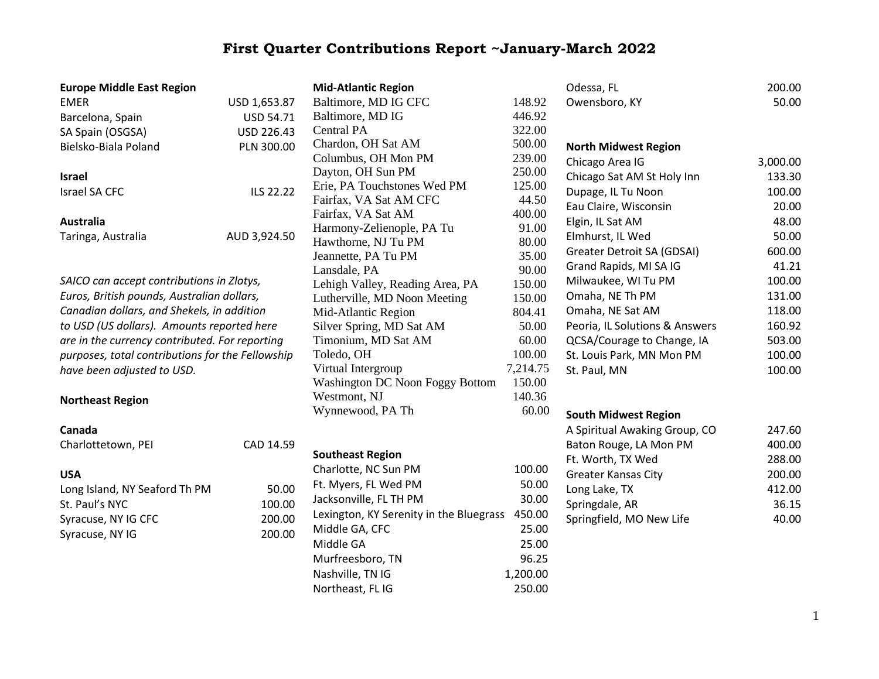## **First Quarter Contributions Report ~January-March 2022**

| <b>Europe Middle East Region</b>                 |              | <b>Mid-Atlantic Region</b>                                      |                          | Odessa, FL                     | 200.00   |
|--------------------------------------------------|--------------|-----------------------------------------------------------------|--------------------------|--------------------------------|----------|
| <b>EMER</b>                                      | USD 1,653.87 | Baltimore, MD IG CFC<br>148.92                                  |                          | Owensboro, KY                  | 50.00    |
| Barcelona, Spain                                 | USD 54.71    | 446.92<br>Baltimore, MD IG                                      |                          |                                |          |
| SA Spain (OSGSA)                                 | USD 226.43   | 322.00<br><b>Central PA</b>                                     |                          |                                |          |
| Bielsko-Biala Poland                             | PLN 300.00   | Chardon, OH Sat AM                                              | 500.00                   | <b>North Midwest Region</b>    |          |
|                                                  |              | Columbus, OH Mon PM                                             | 239.00                   | Chicago Area IG                | 3,000.00 |
| <b>Israel</b>                                    |              | Dayton, OH Sun PM                                               | 250.00                   | Chicago Sat AM St Holy Inn     | 133.30   |
| Israel SA CFC                                    | ILS 22.22    | Erie, PA Touchstones Wed PM                                     | 125.00                   | Dupage, IL Tu Noon             | 100.00   |
|                                                  |              | Fairfax, VA Sat AM CFC                                          | 44.50                    | Eau Claire, Wisconsin          | 20.00    |
| Australia                                        |              | Fairfax, VA Sat AM                                              | 400.00                   | Elgin, IL Sat AM               | 48.00    |
| Taringa, Australia                               | AUD 3,924.50 | Harmony-Zelienople, PA Tu                                       | 91.00                    | Elmhurst, IL Wed               | 50.00    |
|                                                  |              | Hawthorne, NJ Tu PM                                             | 80.00                    | Greater Detroit SA (GDSAI)     | 600.00   |
|                                                  |              | Jeannette, PA Tu PM                                             | 35.00                    | Grand Rapids, MI SA IG         | 41.21    |
| SAICO can accept contributions in Zlotys,        |              | Lansdale, PA                                                    | 90.00                    | Milwaukee, WI Tu PM            | 100.00   |
| Euros, British pounds, Australian dollars,       |              | Lehigh Valley, Reading Area, PA<br>Lutherville, MD Noon Meeting | 150.00<br>150.00         | Omaha, NE Th PM                | 131.00   |
| Canadian dollars, and Shekels, in addition       |              | Mid-Atlantic Region                                             | 804.41                   | Omaha, NE Sat AM               | 118.00   |
| to USD (US dollars). Amounts reported here       |              | Silver Spring, MD Sat AM                                        | 50.00                    | Peoria, IL Solutions & Answers | 160.92   |
| are in the currency contributed. For reporting   |              | Timonium, MD Sat AM                                             | 60.00                    | QCSA/Courage to Change, IA     | 503.00   |
| purposes, total contributions for the Fellowship |              | Toledo, OH                                                      | 100.00                   | St. Louis Park, MN Mon PM      | 100.00   |
| have been adjusted to USD.                       |              | Virtual Intergroup                                              | 7,214.75                 | St. Paul, MN                   | 100.00   |
|                                                  |              | Washington DC Noon Foggy Bottom                                 | 150.00                   |                                |          |
| <b>Northeast Region</b>                          |              | Westmont, NJ                                                    | 140.36                   |                                |          |
|                                                  |              | Wynnewood, PA Th                                                | 60.00                    | <b>South Midwest Region</b>    |          |
| Canada                                           |              |                                                                 |                          |                                | 247.60   |
|                                                  |              |                                                                 |                          | A Spiritual Awaking Group, CO  | 400.00   |
| Charlottetown, PEI                               | CAD 14.59    | <b>Southeast Region</b>                                         |                          | Baton Rouge, LA Mon PM         |          |
|                                                  |              | Charlotte, NC Sun PM                                            | 100.00                   | Ft. Worth, TX Wed              | 288.00   |
| <b>USA</b>                                       |              | Ft. Myers, FL Wed PM                                            | 50.00                    | <b>Greater Kansas City</b>     | 200.00   |
| Long Island, NY Seaford Th PM                    | 50.00        | Jacksonville, FL TH PM                                          | 30.00                    | Long Lake, TX                  | 412.00   |
| St. Paul's NYC                                   | 100.00       | 450.00<br>Lexington, KY Serenity in the Bluegrass               |                          | Springdale, AR                 | 36.15    |
| Syracuse, NY IG CFC                              | 200.00       | Middle GA, CFC                                                  | Springfield, MO New Life | 40.00                          |          |
| Syracuse, NY IG                                  | 200.00       | Middle GA                                                       | 25.00<br>25.00           |                                |          |
|                                                  |              | Murfreesboro, TN                                                | 96.25                    |                                |          |
|                                                  |              | Nashville, TN IG                                                | 1,200.00                 |                                |          |
|                                                  |              | Northeast, FL IG                                                | 250.00                   |                                |          |
|                                                  |              |                                                                 |                          |                                |          |
|                                                  |              |                                                                 |                          |                                |          |